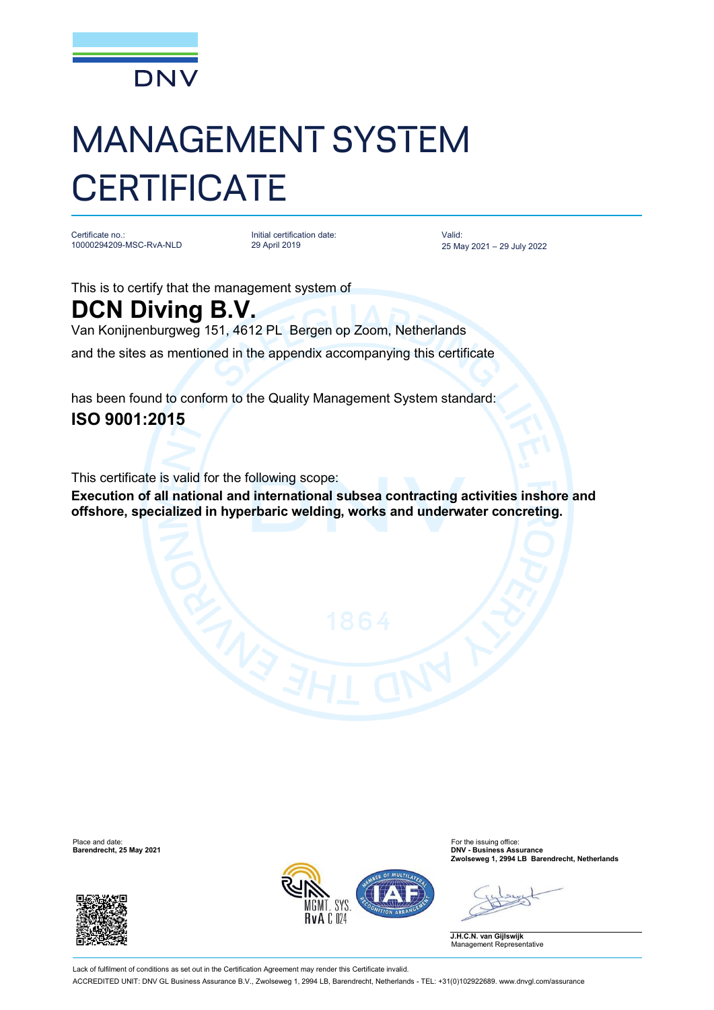

# MANAGEMENT SYSTEM **CERTIFICATE**

Certificate no.: 10000294209-MSC-RvA-NLD

Initial certification date: 29 April 2019

Valid: 25 May 2021 – 29 July 2022

This is to certify that the management system of

## **DCN Diving B.V.**

Van Konijnenburgweg 151, 4612 PL Bergen op Zoom, Netherlands

and the sites as mentioned in the appendix accompanying this certificate

has been found to conform to the Quality Management System standard:

### **ISO 9001:2015**

This certificate is valid for the following scope:

**Execution of all national and international subsea contracting activities inshore and offshore, specialized in hyperbaric welding, works and underwater concreting.**





Place and date: For the issuing office: **Barendrecht, 25 May 2021 DNV - Business Assurance Zwolseweg 1, 2994 LB Barendrecht, Netherlands**

**J.H.C.N. van Gijlswijk** Management Representative

Lack of fulfilment of conditions as set out in the Certification Agreement may render this Certificate invalid. ACCREDITED UNIT: DNV GL Business Assurance B.V., Zwolseweg 1, 2994 LB, Barendrecht, Netherlands - TEL: +31(0)102922689. [www.dnvgl.com/assurance](http://www.dnvgl.com/assurance)